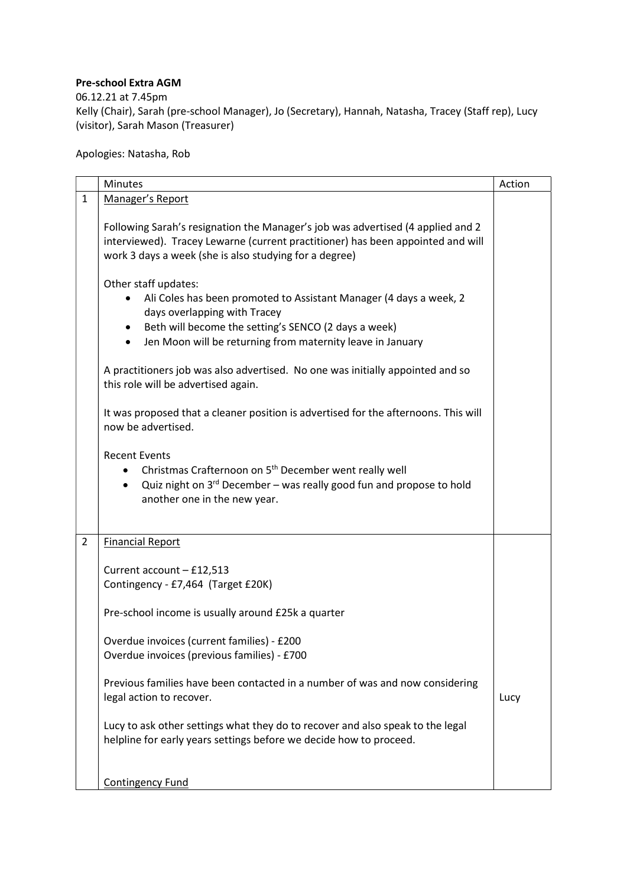## Pre-school Extra AGM

06.12.21 at 7.45pm

Kelly (Chair), Sarah (pre-school Manager), Jo (Secretary), Hannah, Natasha, Tracey (Staff rep), Lucy (visitor), Sarah Mason (Treasurer)

Apologies: Natasha, Rob

|                | Minutes                                                                                                                                                                                                                                                                                 | Action |
|----------------|-----------------------------------------------------------------------------------------------------------------------------------------------------------------------------------------------------------------------------------------------------------------------------------------|--------|
| $\mathbf{1}$   | Manager's Report                                                                                                                                                                                                                                                                        |        |
|                | Following Sarah's resignation the Manager's job was advertised (4 applied and 2<br>interviewed). Tracey Lewarne (current practitioner) has been appointed and will<br>work 3 days a week (she is also studying for a degree)                                                            |        |
|                | Other staff updates:<br>Ali Coles has been promoted to Assistant Manager (4 days a week, 2<br>$\bullet$<br>days overlapping with Tracey<br>Beth will become the setting's SENCO (2 days a week)<br>$\bullet$<br>Jen Moon will be returning from maternity leave in January<br>$\bullet$ |        |
|                | A practitioners job was also advertised. No one was initially appointed and so<br>this role will be advertised again.                                                                                                                                                                   |        |
|                | It was proposed that a cleaner position is advertised for the afternoons. This will<br>now be advertised.                                                                                                                                                                               |        |
|                | <b>Recent Events</b><br>Christmas Crafternoon on 5 <sup>th</sup> December went really well<br>Quiz night on 3rd December - was really good fun and propose to hold<br>$\bullet$<br>another one in the new year.                                                                         |        |
| $\overline{2}$ | <b>Financial Report</b>                                                                                                                                                                                                                                                                 |        |
|                | Current account - £12,513<br>Contingency - £7,464 (Target £20K)                                                                                                                                                                                                                         |        |
|                | Pre-school income is usually around £25k a quarter                                                                                                                                                                                                                                      |        |
|                | Overdue invoices (current families) - £200<br>Overdue invoices (previous families) - £700                                                                                                                                                                                               |        |
|                | Previous families have been contacted in a number of was and now considering<br>legal action to recover.                                                                                                                                                                                | Lucy   |
|                | Lucy to ask other settings what they do to recover and also speak to the legal<br>helpline for early years settings before we decide how to proceed.                                                                                                                                    |        |
|                | <b>Contingency Fund</b>                                                                                                                                                                                                                                                                 |        |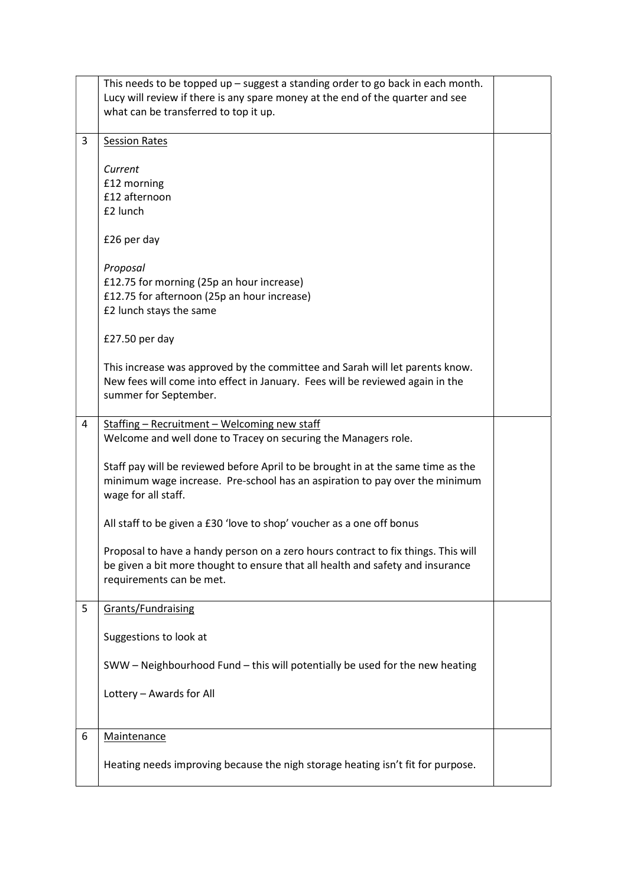|   | This needs to be topped up - suggest a standing order to go back in each month.                    |  |
|---|----------------------------------------------------------------------------------------------------|--|
|   | Lucy will review if there is any spare money at the end of the quarter and see                     |  |
|   | what can be transferred to top it up.                                                              |  |
|   |                                                                                                    |  |
| 3 | <b>Session Rates</b>                                                                               |  |
|   |                                                                                                    |  |
|   | Current<br>£12 morning                                                                             |  |
|   | £12 afternoon                                                                                      |  |
|   | £2 lunch                                                                                           |  |
|   |                                                                                                    |  |
|   | £26 per day                                                                                        |  |
|   |                                                                                                    |  |
|   | Proposal                                                                                           |  |
|   | £12.75 for morning (25p an hour increase)                                                          |  |
|   | £12.75 for afternoon (25p an hour increase)                                                        |  |
|   | £2 lunch stays the same                                                                            |  |
|   |                                                                                                    |  |
|   | £27.50 per day                                                                                     |  |
|   | This increase was approved by the committee and Sarah will let parents know.                       |  |
|   | New fees will come into effect in January. Fees will be reviewed again in the                      |  |
|   | summer for September.                                                                              |  |
|   |                                                                                                    |  |
| 4 | Staffing - Recruitment - Welcoming new staff                                                       |  |
|   | Welcome and well done to Tracey on securing the Managers role.                                     |  |
|   |                                                                                                    |  |
|   | Staff pay will be reviewed before April to be brought in at the same time as the                   |  |
|   | minimum wage increase. Pre-school has an aspiration to pay over the minimum<br>wage for all staff. |  |
|   |                                                                                                    |  |
|   | All staff to be given a £30 'love to shop' voucher as a one off bonus                              |  |
|   |                                                                                                    |  |
|   | Proposal to have a handy person on a zero hours contract to fix things. This will                  |  |
|   | be given a bit more thought to ensure that all health and safety and insurance                     |  |
|   | requirements can be met.                                                                           |  |
|   |                                                                                                    |  |
| 5 | <b>Grants/Fundraising</b>                                                                          |  |
|   | Suggestions to look at                                                                             |  |
|   |                                                                                                    |  |
|   | SWW - Neighbourhood Fund - this will potentially be used for the new heating                       |  |
|   |                                                                                                    |  |
|   | Lottery - Awards for All                                                                           |  |
|   |                                                                                                    |  |
|   |                                                                                                    |  |
| 6 | <b>Maintenance</b>                                                                                 |  |
|   | Heating needs improving because the nigh storage heating isn't fit for purpose.                    |  |
|   |                                                                                                    |  |